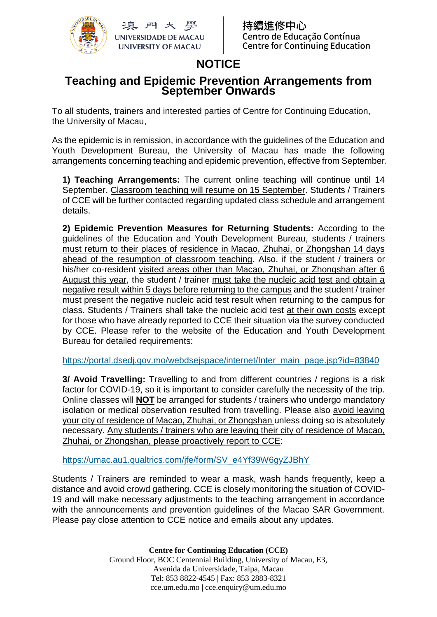

玉門大學 **UNIVERSIDADE DE MACAU UNIVERSITY OF MACAU** 

繪推修中心 Centro de Educação Contínua **Centre for Continuing Education** 

## **NOTICE**

## **Teaching and Epidemic Prevention Arrangements from September Onwards**

To all students, trainers and interested parties of Centre for Continuing Education, the University of Macau,

As the epidemic is in remission, in accordance with the guidelines of the Education and Youth Development Bureau, the University of Macau has made the following arrangements concerning teaching and epidemic prevention, effective from September.

**1) Teaching Arrangements:** The current online teaching will continue until 14 September. Classroom teaching will resume on 15 September. Students / Trainers of CCE will be further contacted regarding updated class schedule and arrangement details.

**2) Epidemic Prevention Measures for Returning Students:** According to the guidelines of the Education and Youth Development Bureau, students / trainers must return to their places of residence in Macao, Zhuhai, or Zhongshan 14 days ahead of the resumption of classroom teaching. Also, if the student / trainers or his/her co-resident visited areas other than Macao, Zhuhai, or Zhongshan after 6 August this year, the student / trainer must take the nucleic acid test and obtain a negative result within 5 days before returning to the campus and the student / trainer must present the negative nucleic acid test result when returning to the campus for class. Students / Trainers shall take the nucleic acid test at their own costs except for those who have already reported to CCE their situation via the survey conducted by CCE. Please refer to the website of the Education and Youth Development Bureau for detailed requirements:

[https://portal.dsedj.gov.mo/webdsejspace/internet/Inter\\_main\\_page.jsp?id=83840](https://portal.dsedj.gov.mo/webdsejspace/internet/Inter_main_page.jsp?id=83840)

**3/ Avoid Travelling:** Travelling to and from different countries / regions is a risk factor for COVID-19, so it is important to consider carefully the necessity of the trip. Online classes will **NOT** be arranged for students / trainers who undergo mandatory isolation or medical observation resulted from travelling. Please also avoid leaving your city of residence of Macao, Zhuhai, or Zhongshan unless doing so is absolutely necessary. Any students / trainers who are leaving their city of residence of Macao, Zhuhai, or Zhongshan, please proactively report to CCE:

[https://umac.au1.qualtrics.com/jfe/form/SV\\_e4Yf39W6gyZJBhY](https://umac.au1.qualtrics.com/jfe/form/SV_e4Yf39W6gyZJBhY)

Students / Trainers are reminded to wear a mask, wash hands frequently, keep a distance and avoid crowd gathering. CCE is closely monitoring the situation of COVID-19 and will make necessary adjustments to the teaching arrangement in accordance with the announcements and prevention guidelines of the Macao SAR Government. Please pay close attention to CCE notice and emails about any updates.

> **Centre for Continuing Education (CCE)** Ground Floor, BOC Centennial Building, University of Macau, E3, Avenida da Universidade, Taipa, Macau Tel: 853 8822-4545 | Fax: 853 2883-8321 cce.um.edu.mo | cce.enquiry@um.edu.mo